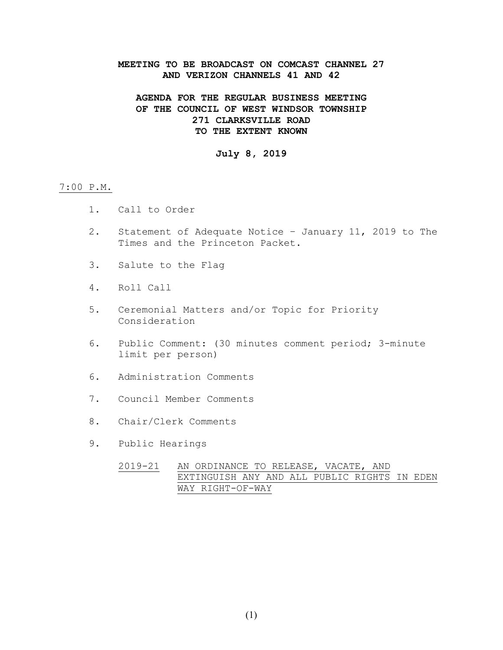### **MEETING TO BE BROADCAST ON COMCAST CHANNEL 27 AND VERIZON CHANNELS 41 AND 42**

## **AGENDA FOR THE REGULAR BUSINESS MEETING OF THE COUNCIL OF WEST WINDSOR TOWNSHIP 271 CLARKSVILLE ROAD TO THE EXTENT KNOWN**

### **July 8, 2019**

#### 7:00 P.M.

- 1. Call to Order
- 2. Statement of Adequate Notice January 11, 2019 to The Times and the Princeton Packet.
- 3. Salute to the Flag
- 4. Roll Call
- 5. Ceremonial Matters and/or Topic for Priority Consideration
- 6. Public Comment: (30 minutes comment period; 3-minute limit per person)
- 6. Administration Comments
- 7. Council Member Comments
- 8. Chair/Clerk Comments
- 9. Public Hearings
	- 2019-21 AN ORDINANCE TO RELEASE, VACATE, AND EXTINGUISH ANY AND ALL PUBLIC RIGHTS IN EDEN WAY RIGHT-OF-WAY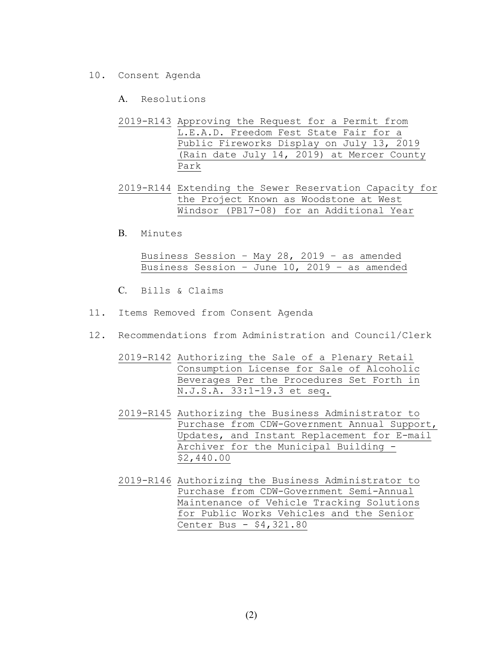- 10. Consent Agenda
	- A. Resolutions
	- 2019-R143 Approving the Request for a Permit from L.E.A.D. Freedom Fest State Fair for a Public Fireworks Display on July 13, 2019 (Rain date July 14, 2019) at Mercer County Park
	- 2019-R144 Extending the Sewer Reservation Capacity for the Project Known as Woodstone at West Windsor (PB17-08) for an Additional Year
	- B. Minutes

Business Session – May 28, 2019 – as amended Business Session – June 10, 2019 – as amended

- C. Bills & Claims
- 11. Items Removed from Consent Agenda
- 12. Recommendations from Administration and Council/Clerk
	- 2019-R142 Authorizing the Sale of a Plenary Retail Consumption License for Sale of Alcoholic Beverages Per the Procedures Set Forth in N.J.S.A. 33:1-19.3 et seq.
	- 2019-R145 Authorizing the Business Administrator to Purchase from CDW-Government Annual Support, Updates, and Instant Replacement for E-mail Archiver for the Municipal Building - \$2,440.00
	- 2019-R146 Authorizing the Business Administrator to Purchase from CDW-Government Semi-Annual Maintenance of Vehicle Tracking Solutions for Public Works Vehicles and the Senior Center Bus - \$4,321.80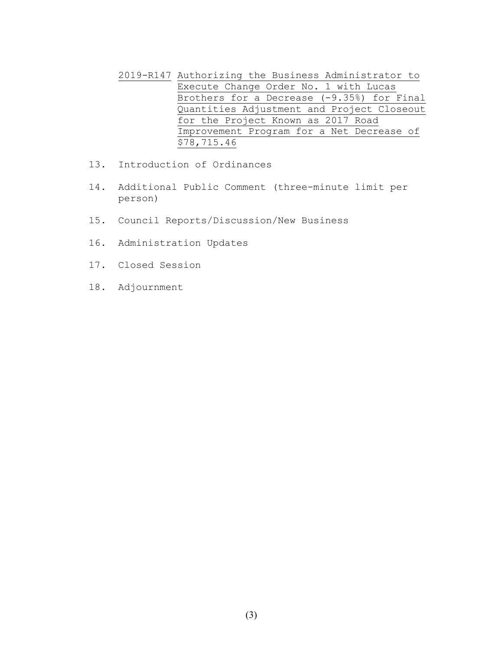- 2019-R147 Authorizing the Business Administrator to Execute Change Order No. 1 with Lucas Brothers for a Decrease (-9.35%) for Final Quantities Adjustment and Project Closeout for the Project Known as 2017 Road Improvement Program for a Net Decrease of \$78,715.46
- 13. Introduction of Ordinances
- 14. Additional Public Comment (three-minute limit per person)
- 15. Council Reports/Discussion/New Business
- 16. Administration Updates
- 17. Closed Session
- 18. Adjournment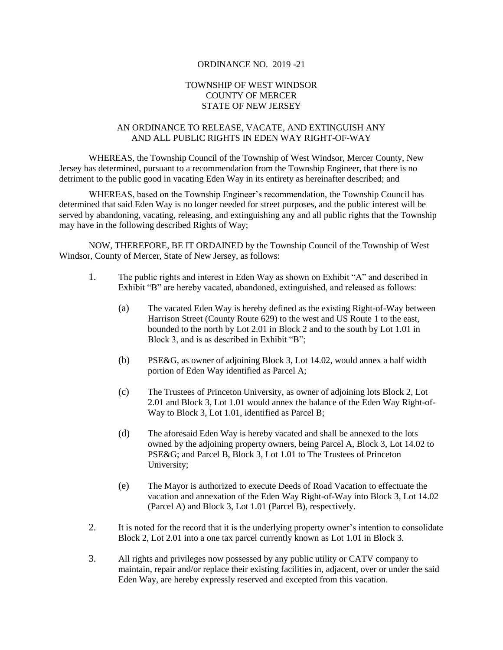### ORDINANCE NO. 2019 -21

### TOWNSHIP OF WEST WINDSOR COUNTY OF MERCER STATE OF NEW JERSEY

### AN ORDINANCE TO RELEASE, VACATE, AND EXTINGUISH ANY AND ALL PUBLIC RIGHTS IN EDEN WAY RIGHT-OF-WAY

WHEREAS, the Township Council of the Township of West Windsor, Mercer County, New Jersey has determined, pursuant to a recommendation from the Township Engineer, that there is no detriment to the public good in vacating Eden Way in its entirety as hereinafter described; and

WHEREAS, based on the Township Engineer's recommendation, the Township Council has determined that said Eden Way is no longer needed for street purposes, and the public interest will be served by abandoning, vacating, releasing, and extinguishing any and all public rights that the Township may have in the following described Rights of Way;

NOW, THEREFORE, BE IT ORDAINED by the Township Council of the Township of West Windsor, County of Mercer, State of New Jersey, as follows:

- 1. The public rights and interest in Eden Way as shown on Exhibit "A" and described in Exhibit "B" are hereby vacated, abandoned, extinguished, and released as follows:
	- (a) The vacated Eden Way is hereby defined as the existing Right-of-Way between Harrison Street (County Route 629) to the west and US Route 1 to the east, bounded to the north by Lot 2.01 in Block 2 and to the south by Lot 1.01 in Block 3, and is as described in Exhibit "B";
	- (b) PSE&G, as owner of adjoining Block 3, Lot 14.02, would annex a half width portion of Eden Way identified as Parcel A;
	- (c) The Trustees of Princeton University, as owner of adjoining lots Block 2, Lot 2.01 and Block 3, Lot 1.01 would annex the balance of the Eden Way Right-of-Way to Block 3, Lot 1.01, identified as Parcel B;
	- (d) The aforesaid Eden Way is hereby vacated and shall be annexed to the lots owned by the adjoining property owners, being Parcel A, Block 3, Lot 14.02 to PSE&G; and Parcel B, Block 3, Lot 1.01 to The Trustees of Princeton University;
	- (e) The Mayor is authorized to execute Deeds of Road Vacation to effectuate the vacation and annexation of the Eden Way Right-of-Way into Block 3, Lot 14.02 (Parcel A) and Block 3, Lot 1.01 (Parcel B), respectively.
- 2. It is noted for the record that it is the underlying property owner's intention to consolidate Block 2, Lot 2.01 into a one tax parcel currently known as Lot 1.01 in Block 3.
- 3. All rights and privileges now possessed by any public utility or CATV company to maintain, repair and/or replace their existing facilities in, adjacent, over or under the said Eden Way, are hereby expressly reserved and excepted from this vacation.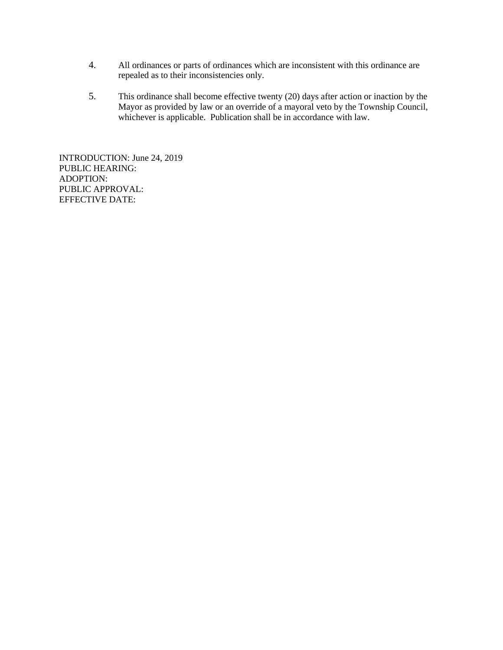- 4. All ordinances or parts of ordinances which are inconsistent with this ordinance are repealed as to their inconsistencies only.
- 5. This ordinance shall become effective twenty (20) days after action or inaction by the Mayor as provided by law or an override of a mayoral veto by the Township Council, whichever is applicable. Publication shall be in accordance with law.

INTRODUCTION: June 24, 2019 PUBLIC HEARING: ADOPTION: PUBLIC APPROVAL: EFFECTIVE DATE: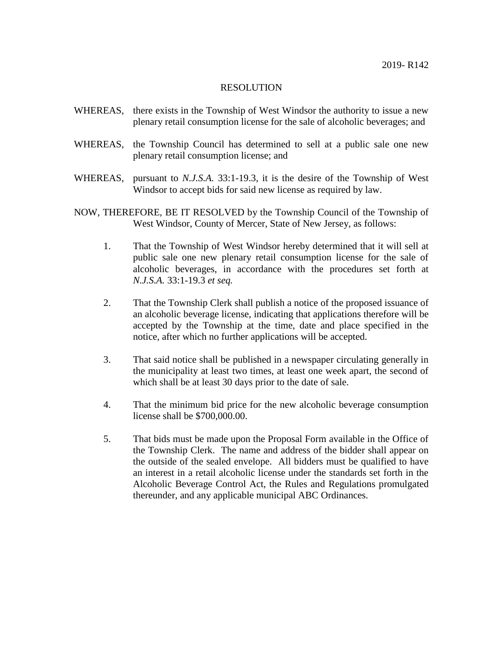- WHEREAS, there exists in the Township of West Windsor the authority to issue a new plenary retail consumption license for the sale of alcoholic beverages; and
- WHEREAS, the Township Council has determined to sell at a public sale one new plenary retail consumption license; and
- WHEREAS, pursuant to *N.J.S.A.* 33:1-19.3, it is the desire of the Township of West Windsor to accept bids for said new license as required by law.
- NOW, THEREFORE, BE IT RESOLVED by the Township Council of the Township of West Windsor, County of Mercer, State of New Jersey, as follows:
	- 1. That the Township of West Windsor hereby determined that it will sell at public sale one new plenary retail consumption license for the sale of alcoholic beverages, in accordance with the procedures set forth at *N.J.S.A.* 33:1-19.3 *et seq.*
	- 2. That the Township Clerk shall publish a notice of the proposed issuance of an alcoholic beverage license, indicating that applications therefore will be accepted by the Township at the time, date and place specified in the notice, after which no further applications will be accepted.
	- 3. That said notice shall be published in a newspaper circulating generally in the municipality at least two times, at least one week apart, the second of which shall be at least 30 days prior to the date of sale.
	- 4. That the minimum bid price for the new alcoholic beverage consumption license shall be \$700,000.00.
	- 5. That bids must be made upon the Proposal Form available in the Office of the Township Clerk. The name and address of the bidder shall appear on the outside of the sealed envelope. All bidders must be qualified to have an interest in a retail alcoholic license under the standards set forth in the Alcoholic Beverage Control Act, the Rules and Regulations promulgated thereunder, and any applicable municipal ABC Ordinances.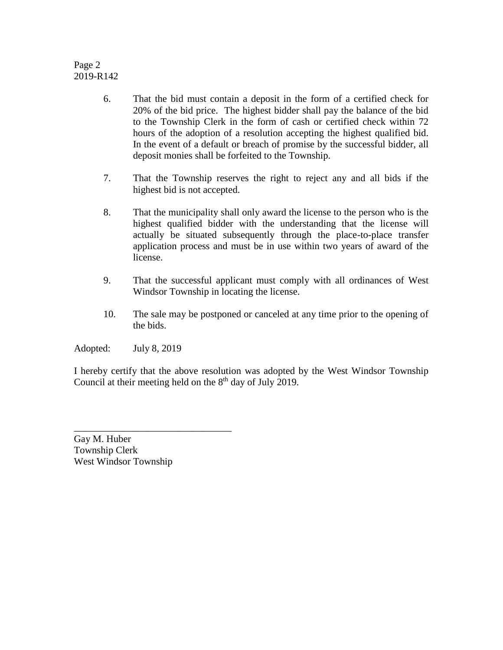# Page 2 2019-R142

- 6. That the bid must contain a deposit in the form of a certified check for 20% of the bid price. The highest bidder shall pay the balance of the bid to the Township Clerk in the form of cash or certified check within 72 hours of the adoption of a resolution accepting the highest qualified bid. In the event of a default or breach of promise by the successful bidder, all deposit monies shall be forfeited to the Township.
- 7. That the Township reserves the right to reject any and all bids if the highest bid is not accepted.
- 8. That the municipality shall only award the license to the person who is the highest qualified bidder with the understanding that the license will actually be situated subsequently through the place-to-place transfer application process and must be in use within two years of award of the license.
- 9. That the successful applicant must comply with all ordinances of West Windsor Township in locating the license.
- 10. The sale may be postponed or canceled at any time prior to the opening of the bids.

Adopted: July 8, 2019

I hereby certify that the above resolution was adopted by the West Windsor Township Council at their meeting held on the  $8<sup>th</sup>$  day of July 2019.

Gay M. Huber Township Clerk West Windsor Township

\_\_\_\_\_\_\_\_\_\_\_\_\_\_\_\_\_\_\_\_\_\_\_\_\_\_\_\_\_\_\_\_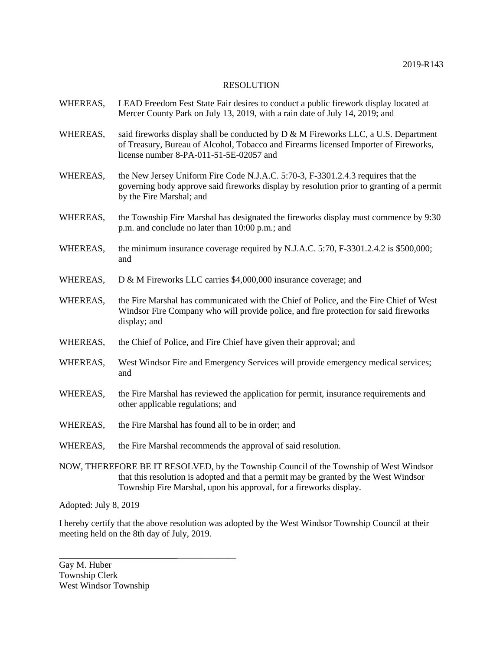- WHEREAS, LEAD Freedom Fest State Fair desires to conduct a public firework display located at Mercer County Park on July 13, 2019, with a rain date of July 14, 2019; and
- WHEREAS, said fireworks display shall be conducted by  $D \& M$  Fireworks LLC, a U.S. Department of Treasury, Bureau of Alcohol, Tobacco and Firearms licensed Importer of Fireworks, license number 8-PA-011-51-5E-02057 and
- WHEREAS, the New Jersey Uniform Fire Code N.J.A.C. 5:70-3, F-3301.2.4.3 requires that the governing body approve said fireworks display by resolution prior to granting of a permit by the Fire Marshal; and
- WHEREAS, the Township Fire Marshal has designated the fireworks display must commence by 9:30 p.m. and conclude no later than 10:00 p.m.; and
- WHEREAS, the minimum insurance coverage required by N.J.A.C. 5:70, F-3301.2.4.2 is \$500,000; and
- WHEREAS, D & M Fireworks LLC carries \$4,000,000 insurance coverage; and
- WHEREAS, the Fire Marshal has communicated with the Chief of Police, and the Fire Chief of West Windsor Fire Company who will provide police, and fire protection for said fireworks display; and
- WHEREAS, the Chief of Police, and Fire Chief have given their approval; and
- WHEREAS, West Windsor Fire and Emergency Services will provide emergency medical services; and
- WHEREAS, the Fire Marshal has reviewed the application for permit, insurance requirements and other applicable regulations; and
- WHEREAS, the Fire Marshal has found all to be in order; and
- WHEREAS, the Fire Marshal recommends the approval of said resolution.

\_\_\_\_\_\_\_\_\_\_\_\_\_

NOW, THEREFORE BE IT RESOLVED, by the Township Council of the Township of West Windsor that this resolution is adopted and that a permit may be granted by the West Windsor Township Fire Marshal, upon his approval, for a fireworks display.

Adopted: July 8, 2019

I hereby certify that the above resolution was adopted by the West Windsor Township Council at their meeting held on the 8th day of July, 2019.

Gay M. Huber Township Clerk West Windsor Township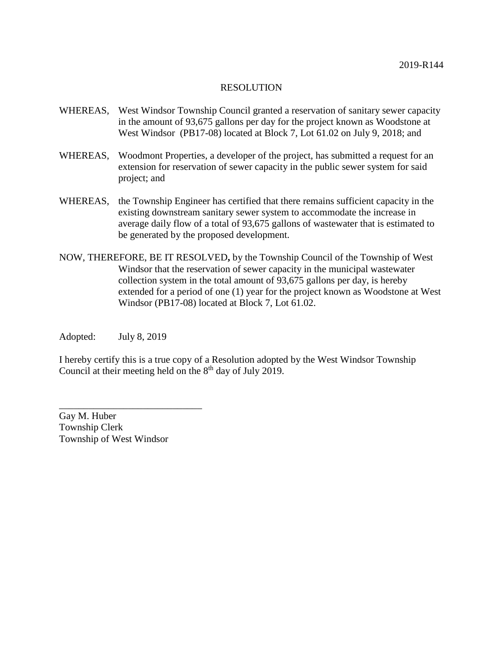- WHEREAS, West Windsor Township Council granted a reservation of sanitary sewer capacity in the amount of 93,675 gallons per day for the project known as Woodstone at West Windsor (PB17-08) located at Block 7, Lot 61.02 on July 9, 2018; and
- WHEREAS, Woodmont Properties, a developer of the project, has submitted a request for an extension for reservation of sewer capacity in the public sewer system for said project; and
- WHEREAS, the Township Engineer has certified that there remains sufficient capacity in the existing downstream sanitary sewer system to accommodate the increase in average daily flow of a total of 93,675 gallons of wastewater that is estimated to be generated by the proposed development.
- NOW, THEREFORE, BE IT RESOLVED**,** by the Township Council of the Township of West Windsor that the reservation of sewer capacity in the municipal wastewater collection system in the total amount of 93,675 gallons per day, is hereby extended for a period of one (1) year for the project known as Woodstone at West Windsor (PB17-08) located at Block 7, Lot 61.02.

Adopted: July 8, 2019

I hereby certify this is a true copy of a Resolution adopted by the West Windsor Township Council at their meeting held on the  $8<sup>th</sup>$  day of July 2019.

Gay M. Huber Township Clerk Township of West Windsor

\_\_\_\_\_\_\_\_\_\_\_\_\_\_\_\_\_\_\_\_\_\_\_\_\_\_\_\_\_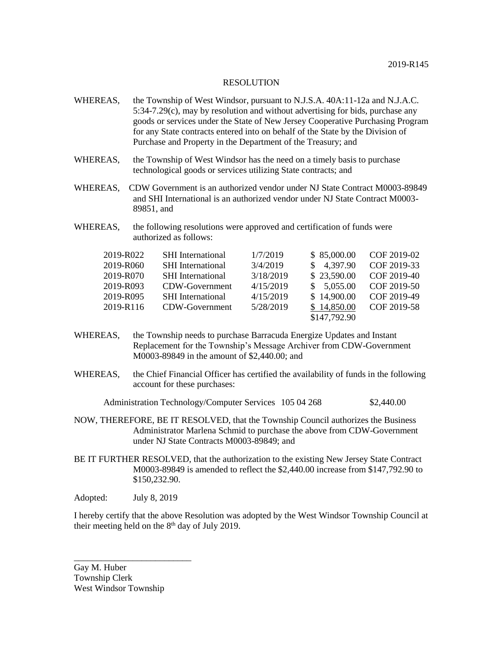- WHEREAS, the Township of West Windsor, pursuant to N.J.S.A. 40A:11-12a and N.J.A.C. 5:34-7.29(c), may by resolution and without advertising for bids, purchase any goods or services under the State of New Jersey Cooperative Purchasing Program for any State contracts entered into on behalf of the State by the Division of Purchase and Property in the Department of the Treasury; and
- WHEREAS, the Township of West Windsor has the need on a timely basis to purchase technological goods or services utilizing State contracts; and
- WHEREAS, CDW Government is an authorized vendor under NJ State Contract M0003-89849 and SHI International is an authorized vendor under NJ State Contract M0003- 89851, and
- WHEREAS, the following resolutions were approved and certification of funds were authorized as follows:

| 2019-R022 | <b>SHI</b> International | 1/7/2019  | \$85,000.00  | COF 2019-02 |
|-----------|--------------------------|-----------|--------------|-------------|
| 2019-R060 | <b>SHI</b> International | 3/4/2019  | \$4,397.90   | COF 2019-33 |
| 2019-R070 | <b>SHI</b> International | 3/18/2019 | \$23,590.00  | COF 2019-40 |
| 2019-R093 | CDW-Government           | 4/15/2019 | \$5,055.00   | COF 2019-50 |
| 2019-R095 | <b>SHI</b> International | 4/15/2019 | \$14,900.00  | COF 2019-49 |
| 2019-R116 | CDW-Government           | 5/28/2019 | \$14,850.00  | COF 2019-58 |
|           |                          |           | \$147,792.90 |             |

- WHEREAS, the Township needs to purchase Barracuda Energize Updates and Instant Replacement for the Township's Message Archiver from CDW-Government M0003-89849 in the amount of \$2,440.00; and
- WHEREAS, the Chief Financial Officer has certified the availability of funds in the following account for these purchases:

Administration Technology/Computer Services 105 04 268 \$2,440.00

- NOW, THEREFORE, BE IT RESOLVED, that the Township Council authorizes the Business Administrator Marlena Schmid to purchase the above from CDW-Government under NJ State Contracts M0003-89849; and
- BE IT FURTHER RESOLVED, that the authorization to the existing New Jersey State Contract M0003-89849 is amended to reflect the \$2,440.00 increase from \$147,792.90 to \$150,232.90.

Adopted: July 8, 2019

I hereby certify that the above Resolution was adopted by the West Windsor Township Council at their meeting held on the  $8<sup>th</sup>$  day of July 2019.

Gay M. Huber Township Clerk West Windsor Township

\_\_\_\_\_\_\_\_\_\_\_\_\_\_\_\_\_\_\_\_\_\_\_\_\_\_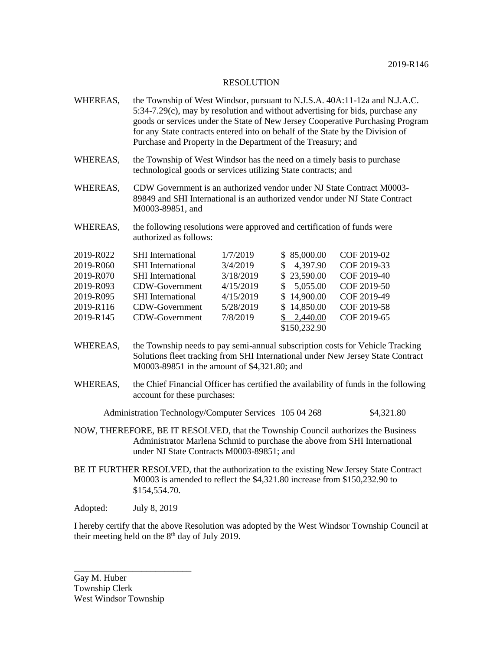- WHEREAS, the Township of West Windsor, pursuant to N.J.S.A. 40A:11-12a and N.J.A.C. 5:34-7.29(c), may by resolution and without advertising for bids, purchase any goods or services under the State of New Jersey Cooperative Purchasing Program for any State contracts entered into on behalf of the State by the Division of Purchase and Property in the Department of the Treasury; and
- WHEREAS, the Township of West Windsor has the need on a timely basis to purchase technological goods or services utilizing State contracts; and
- WHEREAS, CDW Government is an authorized vendor under NJ State Contract M0003-89849 and SHI International is an authorized vendor under NJ State Contract M0003-89851, and
- WHEREAS, the following resolutions were approved and certification of funds were authorized as follows:

| 2019-R022 | <b>SHI</b> International | 1/7/2019  | \$85,000.00  | COF 2019-02 |
|-----------|--------------------------|-----------|--------------|-------------|
| 2019-R060 | <b>SHI</b> International | 3/4/2019  | \$ 4,397.90  | COF 2019-33 |
| 2019-R070 | <b>SHI</b> International | 3/18/2019 | \$23,590.00  | COF 2019-40 |
| 2019-R093 | CDW-Government           | 4/15/2019 | \$5,055.00   | COF 2019-50 |
| 2019-R095 | <b>SHI</b> International | 4/15/2019 | \$14,900.00  | COF 2019-49 |
| 2019-R116 | CDW-Government           | 5/28/2019 | \$14,850.00  | COF 2019-58 |
| 2019-R145 | CDW-Government           | 7/8/2019  | \$2,440.00   | COF 2019-65 |
|           |                          |           | \$150,232.90 |             |

- WHEREAS, the Township needs to pay semi-annual subscription costs for Vehicle Tracking Solutions fleet tracking from SHI International under New Jersey State Contract M0003-89851 in the amount of \$4,321.80; and
- WHEREAS, the Chief Financial Officer has certified the availability of funds in the following account for these purchases:

Administration Technology/Computer Services 105 04 268 \$4,321.80

- NOW, THEREFORE, BE IT RESOLVED, that the Township Council authorizes the Business Administrator Marlena Schmid to purchase the above from SHI International under NJ State Contracts M0003-89851; and
- BE IT FURTHER RESOLVED, that the authorization to the existing New Jersey State Contract M0003 is amended to reflect the \$4,321.80 increase from \$150,232.90 to \$154,554.70.

Adopted: July 8, 2019

I hereby certify that the above Resolution was adopted by the West Windsor Township Council at their meeting held on the  $8<sup>th</sup>$  day of July 2019.

Gay M. Huber Township Clerk West Windsor Township

\_\_\_\_\_\_\_\_\_\_\_\_\_\_\_\_\_\_\_\_\_\_\_\_\_\_